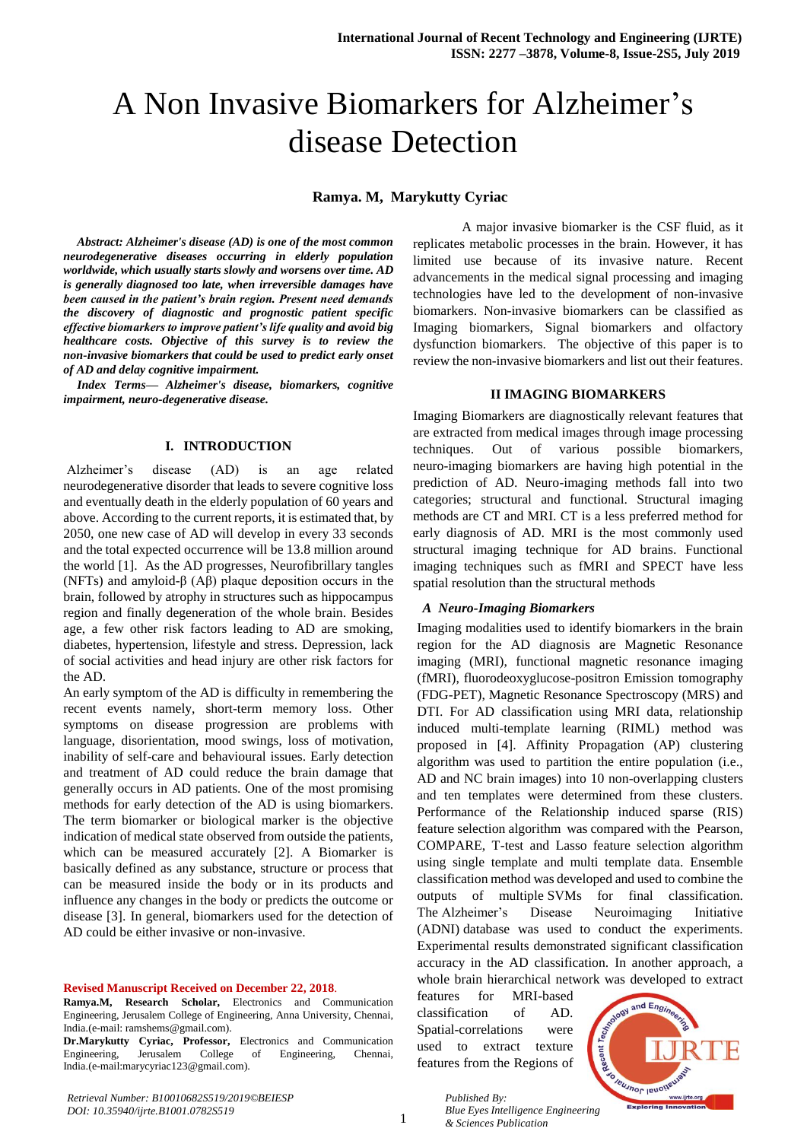# A Non Invasive Biomarkers for Alzheimer's disease Detection

# **Ramya. M, Marykutty Cyriac**

*Abstract: Alzheimer's disease (AD) is one of the most common neurodegenerative diseases occurring in elderly population worldwide, which usually starts slowly and worsens over time. AD is generally diagnosed too late, when irreversible damages have been caused in the patient's brain region. Present need demands the discovery of diagnostic and prognostic patient specific effective biomarkers to improve patient's life quality and avoid big healthcare costs. Objective of this survey is to review the non-invasive biomarkers that could be used to predict early onset of AD and delay cognitive impairment.*

*Index Terms— Alzheimer's disease, biomarkers, cognitive impairment, neuro-degenerative disease.*

#### **I. INTRODUCTION**

Alzheimer's disease (AD) is an age related neurodegenerative disorder that leads to severe cognitive loss and eventually death in the elderly population of 60 years and above. According to the current reports, it is estimated that, by 2050, one new case of AD will develop in every 33 seconds and the total expected occurrence will be 13.8 million around the world [1]. As the AD progresses, Neurofibrillary tangles (NFTs) and amyloid-β (Aβ) plaque deposition occurs in the brain, followed by atrophy in structures such as hippocampus region and finally degeneration of the whole brain. Besides age, a few other risk factors leading to AD are smoking, diabetes, hypertension, lifestyle and stress. Depression, lack of social activities and head injury are other risk factors for the AD.

An early symptom of the AD is difficulty in remembering the recent events namely, short-term memory loss. Other symptoms on disease progression are problems with language, disorientation, mood swings, loss of motivation, inability of self-care and behavioural issues. Early detection and treatment of AD could reduce the brain damage that generally occurs in AD patients. One of the most promising methods for early detection of the AD is using biomarkers. The term biomarker or biological marker is the objective indication of medical state observed from outside the patients, which can be measured accurately [2]. A Biomarker is basically defined as any substance, structure or process that can be measured inside the body or in its products and influence any changes in the body or predicts the outcome or disease [3]. In general, biomarkers used for the detection of AD could be either invasive or non-invasive.

#### **Revised Manuscript Received on December 22, 2018**.

- **Ramya.M, Research Scholar,** Electronics and Communication Engineering, Jerusalem College of Engineering, Anna University, Chennai, India.(e-mail: ramshems@gmail.com).
- **Dr.Marykutty Cyriac, Professor,** Electronics and Communication Engineering, Jerusalem College of Engineering, Chennai, India.(e-mail:marycyriac123@gmail.com).

A major invasive biomarker is the CSF fluid, as it replicates metabolic processes in the brain. However, it has limited use because of its invasive nature. Recent advancements in the medical signal processing and imaging technologies have led to the development of non-invasive biomarkers. Non-invasive biomarkers can be classified as Imaging biomarkers, Signal biomarkers and olfactory dysfunction biomarkers. The objective of this paper is to review the non-invasive biomarkers and list out their features.

#### **II IMAGING BIOMARKERS**

Imaging Biomarkers are diagnostically relevant features that are extracted from medical images through image processing techniques. Out of various possible biomarkers, neuro-imaging biomarkers are having high potential in the prediction of AD. Neuro-imaging methods fall into two categories; structural and functional. Structural imaging methods are CT and MRI. CT is a less preferred method for early diagnosis of AD. MRI is the most commonly used structural imaging technique for AD brains. Functional imaging techniques such as fMRI and SPECT have less spatial resolution than the structural methods

#### *A Neuro-Imaging Biomarkers*

Imaging modalities used to identify biomarkers in the brain region for the AD diagnosis are Magnetic Resonance imaging (MRI), functional magnetic resonance imaging (fMRI), fluorodeoxyglucose-positron Emission tomography (FDG-PET), Magnetic Resonance Spectroscopy (MRS) and DTI. For AD classification using MRI data, relationship induced multi-template learning (RIML) method was proposed in [4]. Affinity Propagation (AP) clustering algorithm was used to partition the entire population (i.e., AD and NC brain images) into 10 non-overlapping clusters and ten templates were determined from these clusters. Performance of the Relationship induced sparse (RIS) feature selection algorithm was compared with the Pearson, COMPARE, T-test and Lasso feature selection algorithm using single template and multi template data. Ensemble classification method was developed and used to combine the outputs of multiple SVMs for final classification. The Alzheimer's Disease Neuroimaging Initiative (ADNI) database was used to conduct the experiments. Experimental results demonstrated significant classification accuracy in the AD classification. In another approach, a whole brain hierarchical network was developed to extract

features for MRI-based classification of AD. Spatial-correlations were used to extract texture features from the Regions of



*Published By: Blue Eyes Intelligence Engineering & Sciences Publication*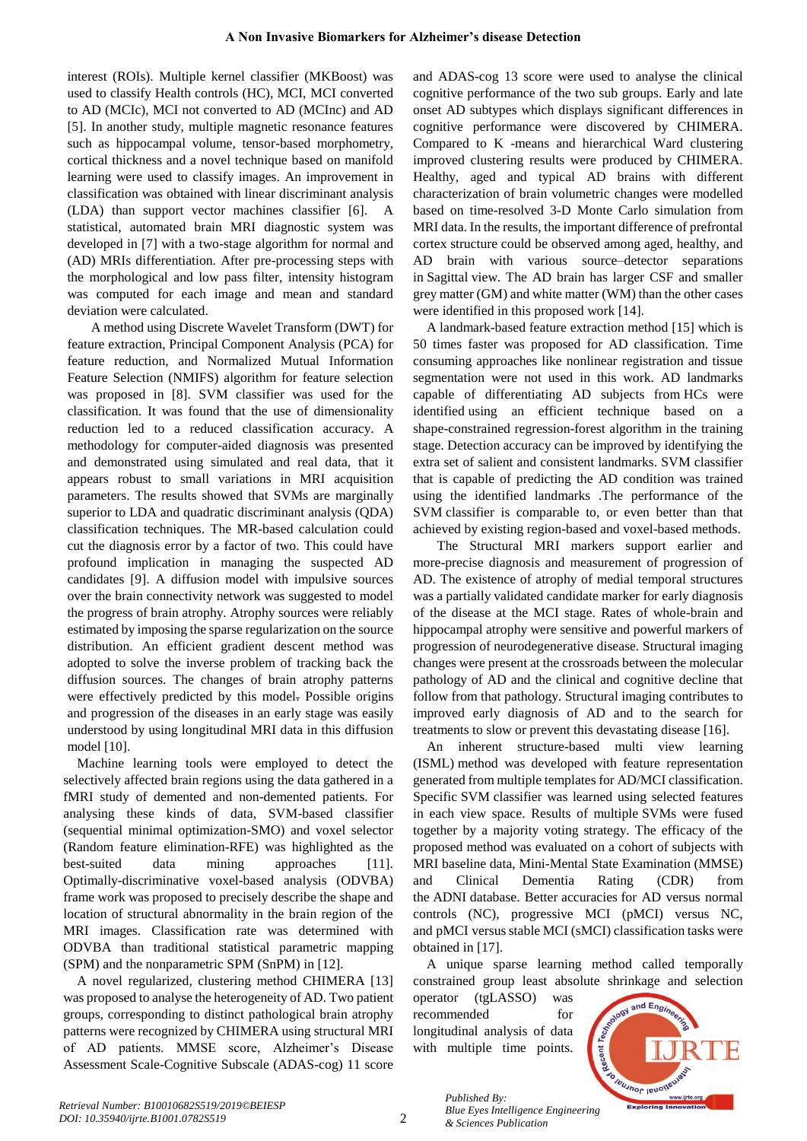interest (ROIs). Multiple kernel classifier (MKBoost) was used to classify Health controls (HC), MCI, MCI converted to AD (MCIc), MCI not converted to AD (MCInc) and AD [5]. In another study, multiple magnetic resonance features such as hippocampal volume, tensor-based morphometry, cortical thickness and a novel technique based on manifold learning were used to classify images. An improvement in classification was obtained with linear discriminant analysis (LDA) than support vector machines classifier [6]. A statistical, automated brain MRI diagnostic system was developed in [7] with a two-stage algorithm for normal and (AD) MRIs differentiation. After pre-processing steps with the morphological and low pass filter, intensity histogram was computed for each image and mean and standard deviation were calculated.

 A method using Discrete Wavelet Transform (DWT) for feature extraction, Principal Component Analysis (PCA) for feature reduction, and Normalized Mutual Information Feature Selection (NMIFS) algorithm for feature selection was proposed in [8]. SVM classifier was used for the classification. It was found that the use of dimensionality reduction led to a reduced classification accuracy. A methodology for computer-aided diagnosis was presented and demonstrated using simulated and real data, that it appears robust to small variations in MRI acquisition parameters. The results showed that SVMs are marginally superior to LDA and quadratic discriminant analysis (QDA) classification techniques. The MR-based calculation could cut the diagnosis error by a factor of two. This could have profound implication in managing the suspected AD candidates [9]. A diffusion model with impulsive sources over the brain connectivity network was suggested to model the progress of brain atrophy. Atrophy sources were reliably estimated by imposing the sparse regularization on the source distribution. An efficient gradient descent method was adopted to solve the inverse problem of tracking back the diffusion sources. The changes of brain atrophy patterns were effectively predicted by this model. Possible origins and progression of the diseases in an early stage was easily understood by using longitudinal MRI data in this diffusion model [10].

Machine learning tools were employed to detect the selectively affected brain regions using the data gathered in a fMRI study of demented and non-demented patients. For analysing these kinds of data, SVM-based classifier (sequential minimal optimization-SMO) and voxel selector (Random feature elimination-RFE) was highlighted as the best-suited data mining approaches [11]. Optimally-discriminative voxel-based analysis (ODVBA) frame work was proposed to precisely describe the shape and location of structural abnormality in the brain region of the MRI images. Classification rate was determined with ODVBA than traditional statistical parametric mapping (SPM) and the nonparametric SPM (SnPM) in [12].

A novel regularized, clustering method CHIMERA [13] was proposed to analyse the heterogeneity of AD. Two patient groups, corresponding to distinct pathological brain atrophy patterns were recognized by CHIMERA using structural MRI of AD patients. MMSE score, Alzheimer's Disease Assessment Scale-Cognitive Subscale (ADAS-cog) 11 score and ADAS-cog 13 score were used to analyse the clinical cognitive performance of the two sub groups. Early and late onset AD subtypes which displays significant differences in cognitive performance were discovered by CHIMERA. Compared to K -means and hierarchical Ward clustering improved clustering results were produced by CHIMERA. Healthy, aged and typical AD brains with different characterization of brain volumetric changes were modelled based on time-resolved 3-D Monte Carlo simulation from MRI data. In the results, the important difference of prefrontal cortex structure could be observed among aged, healthy, and AD brain with various source–detector separations in Sagittal view. The AD brain has larger CSF and smaller grey matter (GM) and white matter (WM) than the other cases were identified in this proposed work [14].

A landmark-based feature extraction method [15] which is 50 times faster was proposed for AD classification. Time consuming approaches like nonlinear registration and tissue segmentation were not used in this work. AD landmarks capable of differentiating AD subjects from HCs were identified using an efficient technique based on a shape-constrained regression-forest algorithm in the training stage. Detection accuracy can be improved by identifying the extra set of salient and consistent landmarks. SVM classifier that is capable of predicting the AD condition was trained using the identified landmarks .The performance of the SVM classifier is comparable to, or even better than that achieved by existing region-based and voxel-based methods.

 The Structural MRI markers support earlier and more-precise diagnosis and measurement of progression of AD. The existence of atrophy of medial temporal structures was a partially validated candidate marker for early diagnosis of the disease at the MCI stage. Rates of whole-brain and hippocampal atrophy were sensitive and powerful markers of progression of neurodegenerative disease. Structural imaging changes were present at the crossroads between the molecular pathology of AD and the clinical and cognitive decline that follow from that pathology. Structural imaging contributes to improved early diagnosis of AD and to the search for treatments to slow or prevent this devastating disease [16].

An inherent structure-based multi view learning (ISML) method was developed with feature representation generated from multiple templates for AD/MCI classification. Specific SVM classifier was learned using selected features in each view space. Results of multiple SVMs were fused together by a majority voting strategy. The efficacy of the proposed method was evaluated on a cohort of subjects with MRI baseline data, Mini-Mental State Examination (MMSE) and Clinical Dementia Rating (CDR) from the ADNI database. Better accuracies for AD versus normal controls (NC), progressive MCI (pMCI) versus NC, and pMCI versus stable MCI (sMCI) classification tasks were obtained in [17].

A unique sparse learning method called temporally constrained group least absolute shrinkage and selection

operator (tgLASSO) was recommended for longitudinal analysis of data with multiple time points.



2

*Published By: Blue Eyes Intelligence Engineering & Sciences Publication*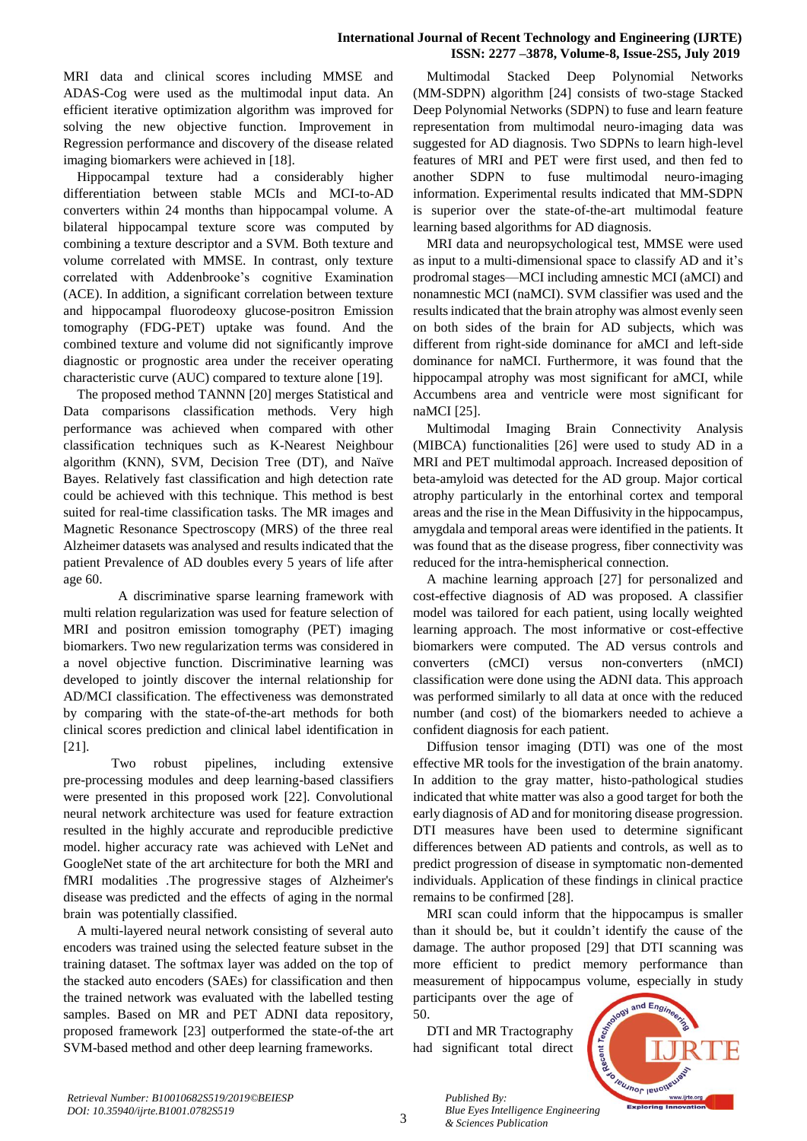## **International Journal of Recent Technology and Engineering (IJRTE) ISSN: 2277 –3878, Volume-8, Issue-2S5, July 2019**

MRI data and clinical scores including MMSE and ADAS-Cog were used as the multimodal input data. An efficient iterative optimization algorithm was improved for solving the new objective function. Improvement in Regression performance and discovery of the disease related imaging biomarkers were achieved in [18].

Hippocampal texture had a considerably higher differentiation between stable MCIs and MCI-to-AD converters within 24 months than hippocampal volume. A bilateral hippocampal texture score was computed by combining a texture descriptor and a SVM. Both texture and volume correlated with MMSE. In contrast, only texture correlated with Addenbrooke's cognitive Examination (ACE). In addition, a significant correlation between texture and hippocampal fluorodeoxy glucose-positron Emission tomography (FDG-PET) uptake was found. And the combined texture and volume did not significantly improve diagnostic or prognostic area under the receiver operating characteristic curve (AUC) compared to texture alone [19].

The proposed method TANNN [20] merges Statistical and Data comparisons classification methods. Very high performance was achieved when compared with other classification techniques such as K-Nearest Neighbour algorithm (KNN), SVM, Decision Tree (DT), and Naïve Bayes. Relatively fast classification and high detection rate could be achieved with this technique. This method is best suited for real-time classification tasks. The MR images and Magnetic Resonance Spectroscopy (MRS) of the three real Alzheimer datasets was analysed and results indicated that the patient Prevalence of AD doubles every 5 years of life after age 60.

 A discriminative sparse learning framework with multi relation regularization was used for feature selection of MRI and positron emission tomography (PET) imaging biomarkers. Two new regularization terms was considered in a novel objective function. Discriminative learning was developed to jointly discover the internal relationship for AD/MCI classification. The effectiveness was demonstrated by comparing with the state-of-the-art methods for both clinical scores prediction and clinical label identification in [21].

 Two robust pipelines, including extensive pre-processing modules and deep learning-based classifiers were presented in this proposed work [22]. Convolutional neural network architecture was used for feature extraction resulted in the highly accurate and reproducible predictive model. higher accuracy rate was achieved with LeNet and GoogleNet state of the art architecture for both the MRI and fMRI modalities .The progressive stages of Alzheimer's disease was predicted and the effects of aging in the normal brain was potentially classified.

A multi-layered neural network consisting of several auto encoders was trained using the selected feature subset in the training dataset. The softmax layer was added on the top of the stacked auto encoders (SAEs) for classification and then the trained network was evaluated with the labelled testing samples. Based on MR and PET ADNI data repository, proposed framework [23] outperformed the state-of-the art SVM-based method and other deep learning frameworks.

Multimodal Stacked Deep Polynomial Networks (MM-SDPN) algorithm [24] consists of two-stage Stacked Deep Polynomial Networks (SDPN) to fuse and learn feature representation from multimodal neuro-imaging data was suggested for AD diagnosis. Two SDPNs to learn high-level features of MRI and PET were first used, and then fed to another SDPN to fuse multimodal neuro-imaging information. Experimental results indicated that MM-SDPN is superior over the state-of-the-art multimodal feature learning based algorithms for AD diagnosis.

MRI data and neuropsychological test, MMSE were used as input to a multi-dimensional space to classify AD and it's prodromal stages—MCI including amnestic MCI (aMCI) and nonamnestic MCI (naMCI). SVM classifier was used and the results indicated that the brain atrophy was almost evenly seen on both sides of the brain for AD subjects, which was different from right-side dominance for aMCI and left-side dominance for naMCI. Furthermore, it was found that the hippocampal atrophy was most significant for aMCI, while Accumbens area and ventricle were most significant for naMCI [25].

Multimodal Imaging Brain Connectivity Analysis (MIBCA) functionalities [26] were used to study AD in a MRI and PET multimodal approach. Increased deposition of beta-amyloid was detected for the AD group. Major cortical atrophy particularly in the entorhinal cortex and temporal areas and the rise in the Mean Diffusivity in the hippocampus, amygdala and temporal areas were identified in the patients. It was found that as the disease progress, fiber connectivity was reduced for the intra-hemispherical connection.

A machine learning approach [27] for personalized and cost-effective diagnosis of AD was proposed. A classifier model was tailored for each patient, using locally weighted learning approach. The most informative or cost-effective biomarkers were computed. The AD versus controls and converters (cMCI) versus non-converters (nMCI) classification were done using the ADNI data. This approach was performed similarly to all data at once with the reduced number (and cost) of the biomarkers needed to achieve a confident diagnosis for each patient.

Diffusion tensor imaging (DTI) was one of the most effective MR tools for the investigation of the brain anatomy. In addition to the gray matter, histo-pathological studies indicated that white matter was also a good target for both the early diagnosis of AD and for monitoring disease progression. DTI measures have been used to determine significant differences between AD patients and controls, as well as to predict progression of disease in symptomatic non-demented individuals. Application of these findings in clinical practice remains to be confirmed [28].

MRI scan could inform that the hippocampus is smaller than it should be, but it couldn't identify the cause of the damage. The author proposed [29] that DTI scanning was more efficient to predict memory performance than measurement of hippocampus volume, especially in study participants over the age of

50.

DTI and MR Tractography had significant total direct



3

*Published By: Blue Eyes Intelligence Engineering & Sciences Publication*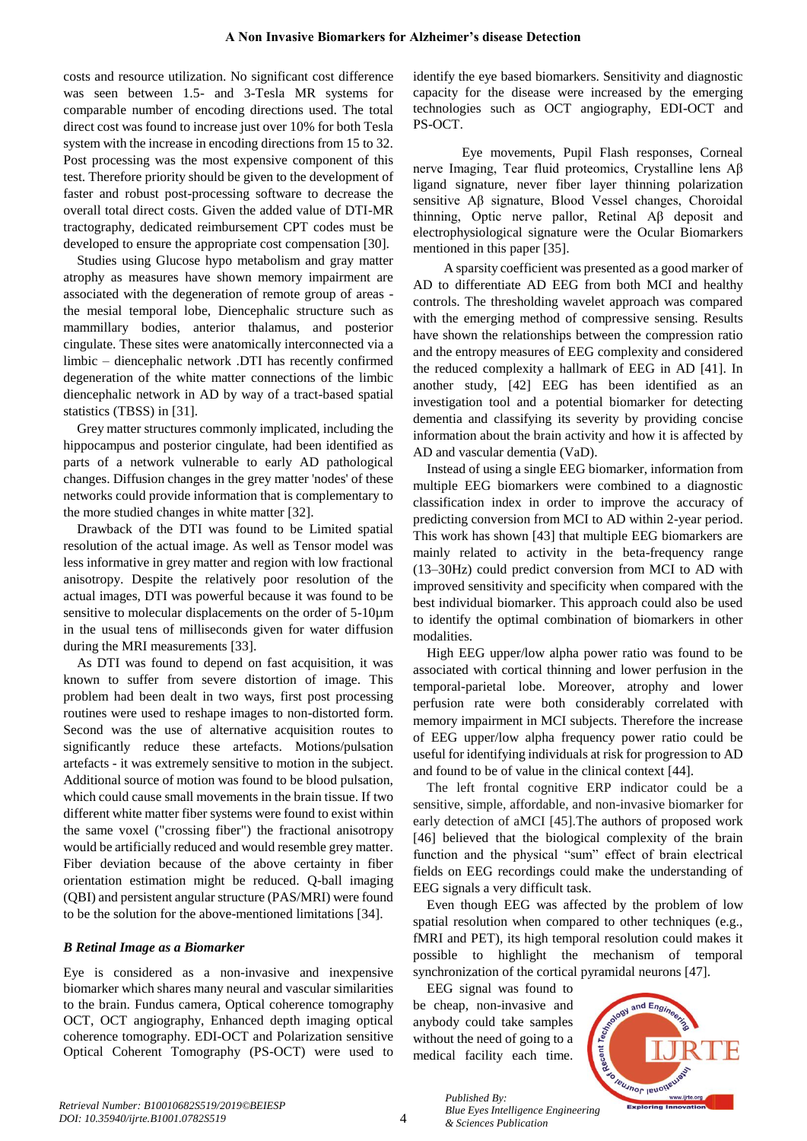costs and resource utilization. No significant cost difference was seen between 1.5- and 3-Tesla MR systems for comparable number of encoding directions used. The total direct cost was found to increase just over 10% for both Tesla system with the increase in encoding directions from 15 to 32. Post processing was the most expensive component of this test. Therefore priority should be given to the development of faster and robust post-processing software to decrease the overall total direct costs. Given the added value of DTI-MR tractography, dedicated reimbursement CPT codes must be developed to ensure the appropriate cost compensation [30].

Studies using Glucose hypo metabolism and gray matter atrophy as measures have shown memory impairment are associated with the degeneration of remote group of areas the mesial temporal lobe, Diencephalic structure such as mammillary bodies, anterior thalamus, and posterior cingulate. These sites were anatomically interconnected via a limbic – diencephalic network .DTI has recently confirmed degeneration of the white matter connections of the limbic diencephalic network in AD by way of a tract-based spatial statistics (TBSS) in [31].

Grey matter structures commonly implicated, including the hippocampus and posterior cingulate, had been identified as parts of a network vulnerable to early AD pathological changes. Diffusion changes in the grey matter 'nodes' of these networks could provide information that is complementary to the more studied changes in white matter [32].

Drawback of the DTI was found to be Limited spatial resolution of the actual image. As well as Tensor model was less informative in grey matter and region with low fractional anisotropy. Despite the relatively poor resolution of the actual images, DTI was powerful because it was found to be sensitive to molecular displacements on the order of 5-10µm in the usual tens of milliseconds given for water diffusion during the MRI measurements [33].

As DTI was found to depend on fast acquisition, it was known to suffer from severe distortion of image. This problem had been dealt in two ways, first post processing routines were used to reshape images to non-distorted form. Second was the use of alternative acquisition routes to significantly reduce these artefacts. Motions/pulsation artefacts - it was extremely sensitive to motion in the subject. Additional source of motion was found to be blood pulsation, which could cause small movements in the brain tissue. If two different white matter fiber systems were found to exist within the same voxel ("crossing fiber") the fractional anisotropy would be artificially reduced and would resemble grey matter. Fiber deviation because of the above certainty in fiber orientation estimation might be reduced. Q-ball imaging (QBI) and persistent angular structure (PAS/MRI) were found to be the solution for the above-mentioned limitations [34].

# *B Retinal Image as a Biomarker*

Eye is considered as a non-invasive and inexpensive biomarker which shares many neural and vascular similarities to the brain. Fundus camera, Optical coherence tomography OCT, OCT angiography, Enhanced depth imaging optical coherence tomography. EDI-OCT and Polarization sensitive Optical Coherent Tomography (PS-OCT) were used to identify the eye based biomarkers. Sensitivity and diagnostic capacity for the disease were increased by the emerging technologies such as OCT angiography, EDI-OCT and PS-OCT.

Eye movements, Pupil Flash responses, Corneal nerve Imaging, Tear fluid proteomics, Crystalline lens Aβ ligand signature, never fiber layer thinning polarization sensitive Aβ signature, Blood Vessel changes, Choroidal thinning, Optic nerve pallor, Retinal Aβ deposit and electrophysiological signature were the Ocular Biomarkers mentioned in this paper [35].

A sparsity coefficient was presented as a good marker of AD to differentiate AD EEG from both MCI and healthy controls. The thresholding wavelet approach was compared with the emerging method of compressive sensing. Results have shown the relationships between the compression ratio and the entropy measures of EEG complexity and considered the reduced complexity a hallmark of EEG in AD [41]. In another study, [42] EEG has been identified as an investigation tool and a potential biomarker for detecting dementia and classifying its severity by providing concise information about the brain activity and how it is affected by AD and vascular dementia (VaD).

Instead of using a single EEG biomarker, information from multiple EEG biomarkers were combined to a diagnostic classification index in order to improve the accuracy of predicting conversion from MCI to AD within 2-year period. This work has shown [43] that multiple EEG biomarkers are mainly related to activity in the beta-frequency range (13–30Hz) could predict conversion from MCI to AD with improved sensitivity and specificity when compared with the best individual biomarker. This approach could also be used to identify the optimal combination of biomarkers in other modalities.

High EEG upper/low alpha power ratio was found to be associated with cortical thinning and lower perfusion in the temporal-parietal lobe. Moreover, atrophy and lower perfusion rate were both considerably correlated with memory impairment in MCI subjects. Therefore the increase of EEG upper/low alpha frequency power ratio could be useful for identifying individuals at risk for progression to AD and found to be of value in the clinical context [44].

The left frontal cognitive ERP indicator could be a sensitive, simple, affordable, and non-invasive biomarker for early detection of aMCI [45].The authors of proposed work [46] believed that the biological complexity of the brain function and the physical "sum" effect of brain electrical fields on EEG recordings could make the understanding of EEG signals a very difficult task.

Even though EEG was affected by the problem of low spatial resolution when compared to other techniques (e.g., fMRI and PET), its high temporal resolution could makes it possible to highlight the mechanism of temporal synchronization of the cortical pyramidal neurons [47].

EEG signal was found to

be cheap, non-invasive and anybody could take samples without the need of going to a medical facility each time.



4

*Published By: Blue Eyes Intelligence Engineering & Sciences Publication*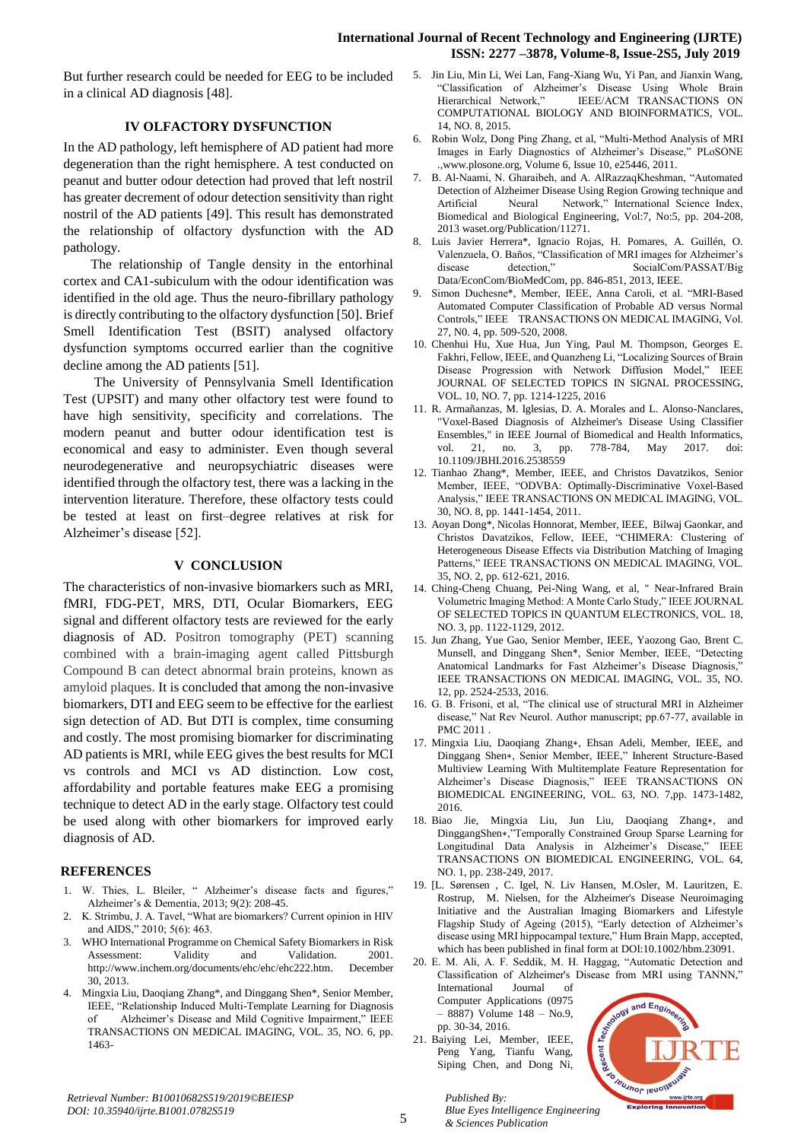## **International Journal of Recent Technology and Engineering (IJRTE) ISSN: 2277 –3878, Volume-8, Issue-2S5, July 2019**

But further research could be needed for EEG to be included in a clinical AD diagnosis [48].

# **IV OLFACTORY DYSFUNCTION**

In the AD pathology, left hemisphere of AD patient had more degeneration than the right hemisphere. A test conducted on peanut and butter odour detection had proved that left nostril has greater decrement of odour detection sensitivity than right nostril of the AD patients [49]. This result has demonstrated the relationship of olfactory dysfunction with the AD pathology.

 The relationship of Tangle density in the entorhinal cortex and CA1-subiculum with the odour identification was identified in the old age. Thus the neuro-fibrillary pathology is directly contributing to the olfactory dysfunction [50]. Brief Smell Identification Test (BSIT) analysed olfactory dysfunction symptoms occurred earlier than the cognitive decline among the AD patients [51].

 The University of Pennsylvania Smell Identification Test (UPSIT) and many other olfactory test were found to have high sensitivity, specificity and correlations. The modern peanut and butter odour identification test is economical and easy to administer. Even though several neurodegenerative and neuropsychiatric diseases were identified through the olfactory test, there was a lacking in the intervention literature. Therefore, these olfactory tests could be tested at least on first–degree relatives at risk for Alzheimer's disease [52].

## **V CONCLUSION**

The characteristics of non-invasive biomarkers such as MRI, fMRI, FDG-PET, MRS, DTI, Ocular Biomarkers, EEG signal and different olfactory tests are reviewed for the early diagnosis of AD. Positron tomography (PET) scanning combined with a brain-imaging agent called Pittsburgh Compound B can detect abnormal brain proteins, known as amyloid plaques. It is concluded that among the non-invasive biomarkers, DTI and EEG seem to be effective for the earliest sign detection of AD. But DTI is complex, time consuming and costly. The most promising biomarker for discriminating AD patients is MRI, while EEG gives the best results for MCI vs controls and MCI vs AD distinction. Low cost, affordability and portable features make EEG a promising technique to detect AD in the early stage. Olfactory test could be used along with other biomarkers for improved early diagnosis of AD.

# **REFERENCES**

- 1. W. Thies, L. Bleiler, " Alzheimer's disease facts and figures," Alzheimer's & Dementia, 2013; 9(2): 208-45.
- 2. K. Strimbu, J. A. Tavel, "What are biomarkers? Current opinion in HIV and AIDS," 2010; 5(6): 463.
- 3. WHO International Programme on Chemical Safety Biomarkers in Risk Assessment: Validity and Validation. 2001. [http://www.inchem.org/documents/ehc/ehc/ehc222.htm.](http://www.inchem.org/documents/ehc/ehc/ehc222.htm) December 30, 2013.
- 4. Mingxia Liu, Daoqiang Zhang\*, and Dinggang Shen\*, Senior Member, IEEE, "Relationship Induced Multi-Template Learning for Diagnosis of Alzheimer's Disease and Mild Cognitive Impairment," IEEE TRANSACTIONS ON MEDICAL IMAGING, VOL. 35, NO. 6, pp. 1463-
- 5. Jin Liu, Min Li, Wei Lan, Fang-Xiang Wu, Yi Pan, and Jianxin Wang, "Classification of Alzheimer's Disease Using Whole Brain Hierarchical Network," IEEE/ACM TRANSACTIONS ON COMPUTATIONAL BIOLOGY AND BIOINFORMATICS, VOL. 14, NO. 8, 2015.
- 6. Robin Wolz, Dong Ping Zhang, et al, "Multi-Method Analysis of MRI Images in Early Diagnostics of Alzheimer's Disease," PLoSONE .,www.plosone.org, Volume 6, Issue 10, e25446, 2011.
- 7. B. Al-Naami, N. Gharaibeh, and A. AlRazzaqKheshman, "Automated Detection of Alzheimer Disease Using Region Growing technique and Artificial Neural Network," International Science Index, Biomedical and Biological Engineering, Vol:7, No:5, pp. 204-208, 2013 waset.org/Publication/11271.
- 8. Luis Javier Herrera\*, Ignacio Rojas, H. Pomares, A. Guillén, O. Valenzuela, O. Baños, "Classification of MRI images for Alzheimer's disease detection," SocialCom/PASSAT/Big Data/EconCom/BioMedCom, pp. 846-851, 2013, IEEE.
- 9. Simon Duchesne\*, Member, IEEE, Anna Caroli, et al. "MRI-Based Automated Computer Classification of Probable AD versus Normal Controls," IEEE TRANSACTIONS ON MEDICAL IMAGING, Vol. 27, N0. 4, pp. 509-520, 2008.
- 10. Chenhui Hu, Xue Hua, Jun Ying, Paul M. Thompson, Georges E. Fakhri, Fellow, IEEE, and Quanzheng Li, "Localizing Sources of Brain Disease Progression with Network Diffusion Model," IEEE JOURNAL OF SELECTED TOPICS IN SIGNAL PROCESSING, VOL. 10, NO. 7, pp. 1214-1225, 2016
- 11. R. Armañanzas, M. Iglesias, D. A. Morales and L. Alonso-Nanclares, "Voxel-Based Diagnosis of Alzheimer's Disease Using Classifier Ensembles," in IEEE Journal of Biomedical and Health Informatics, vol. 21, no. 3, pp. 778-784, May 2017. doi: 10.1109/JBHI.2016.2538559
- 12. Tianhao Zhang\*, Member, IEEE, and Christos Davatzikos, Senior Member, IEEE, "ODVBA: Optimally-Discriminative Voxel-Based Analysis," IEEE TRANSACTIONS ON MEDICAL IMAGING, VOL. 30, NO. 8, pp. 1441-1454, 2011.
- 13. Aoyan Dong\*, Nicolas Honnorat, Member, IEEE, Bilwaj Gaonkar, and Christos Davatzikos, Fellow, IEEE, "CHIMERA: Clustering of Heterogeneous Disease Effects via Distribution Matching of Imaging Patterns," IEEE TRANSACTIONS ON MEDICAL IMAGING, VOL. 35, NO. 2, pp. 612-621, 2016.
- 14. Ching-Cheng Chuang, Pei-Ning Wang, et al, " Near-Infrared Brain Volumetric Imaging Method: A Monte Carlo Study," IEEE JOURNAL OF SELECTED TOPICS IN QUANTUM ELECTRONICS, VOL. 18, NO. 3, pp. 1122-1129, 2012.
- 15. Jun Zhang, Yue Gao, Senior Member, IEEE, Yaozong Gao, Brent C. Munsell, and Dinggang Shen\*, Senior Member, IEEE, "Detecting Anatomical Landmarks for Fast Alzheimer's Disease Diagnosis," IEEE TRANSACTIONS ON MEDICAL IMAGING, VOL. 35, NO. 12, pp. 2524-2533, 2016.
- 16. G. B. Frisoni, et al, "The clinical use of structural MRI in Alzheimer disease," Nat Rev Neurol. Author manuscript; pp.67-77, available in PMC 2011 .
- 17. Mingxia Liu, Daoqiang Zhang∗, Ehsan Adeli, Member, IEEE, and Dinggang Shen∗, Senior Member, IEEE," Inherent Structure-Based Multiview Learning With Multitemplate Feature Representation for Alzheimer's Disease Diagnosis," IEEE TRANSACTIONS ON BIOMEDICAL ENGINEERING, VOL. 63, NO. 7,pp. 1473-1482, 2016.
- 18. Biao Jie, Mingxia Liu, Jun Liu, Daoqiang Zhang∗, and DinggangShen∗,"Temporally Constrained Group Sparse Learning for Longitudinal Data Analysis in Alzheimer's Disease," IEEE TRANSACTIONS ON BIOMEDICAL ENGINEERING, VOL. 64, NO. 1, pp. 238-249, 2017.
- 19. [L. Sørensen , C. Igel, N. Liv Hansen, M.Osler, M. Lauritzen, E. Rostrup, M. Nielsen, for the Alzheimer's Disease Neuroimaging Initiative and the Australian Imaging Biomarkers and Lifestyle Flagship Study of Ageing (2015), "Early detection of Alzheimer's disease using MRI hippocampal texture," Hum Brain Mapp, accepted, which has been published in final form at DOI:10.1002/hbm.23091.
- 20. E. M. Ali, A. F. Seddik, M. H. Haggag, "Automatic Detection and Classification of Alzheimer's Disease from MRI using TANNN," International Journal of
- Computer Applications (0975 – 8887) Volume 148 – No.9, pp. 30-34, 2016. 21. Baiying Lei, Member, IEEE, Peng Yang, Tianfu Wang,

Siping Chen, and Dong Ni,

*& Sciences Publication* 

*Published By:*